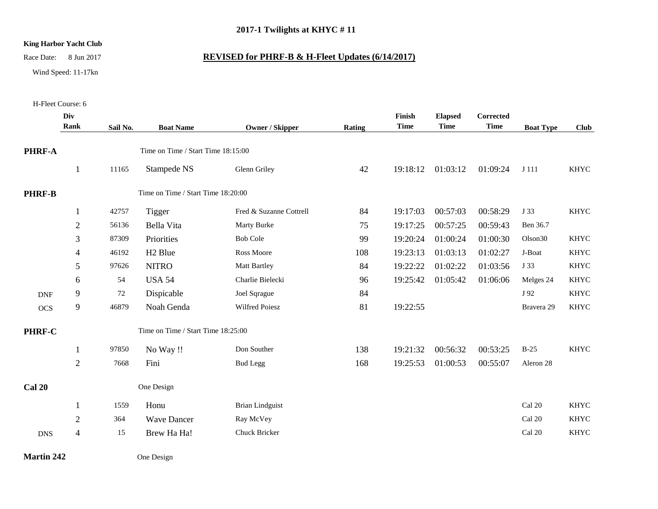## **2017-1 Twilights at KHYC # 11**

## **King Harbor Yacht Club**

Race Date: 8 Jun 2017 **REVISED for PHRF-B & H-Fleet Updates (6/14/2017)**

## Wind Speed: 11-17kn

H-Fleet Course: 6

**Martin 242** One Design

## **PHRF-A Div Rank Sail No. Boat Name Owner / Skipper Rating Finish Time Elapsed Time Corrected Time Boat Type Club** Time on Time / Start Time 18:15:00 1 11165 Stampede NS Glenn Griley 42 19:18:12 01:03:12 01:09:24 J 111 KHYC **PHRF-B** Time on Time / Start Time 18:20:00 1 42757 Tigger Fred & Suzanne Cottrell 84 19:17:03 00:57:03 00:58:29 J 33 KHYC 2 56136 Bella Vita Marty Burke 75 19:17:25 00:57:25 00:59:43 Ben 36.7 3 87309 Priorities Bob Cole 99 19:20:24 01:00:24 01:00:30 Olson30 KHYC 4 46192 H2 Blue Ross Moore 108 19:23:13 01:03:13 01:02:27 J-Boat KHYC 5 97626 NITRO Matt Bartley 84 19:22:22 01:02:22 01:03:56 J 33 KHYC 6 54 USA 54 Charlie Bielecki 96 19:25:42 01:05:42 01:06:06 Melges 24 KHYC DNF 9 72 Dispicable Joel Sqrague 84 84 J 92 KHYC OCS 9 46879 Noah Genda Wilfred Poiesz 81 19:22:55 Bravera 29 KHYC **PHRF-C** Time on Time / Start Time 18:25:00 1 97850 No Way !! Don Souther 138 19:21:32 00:56:32 00:53:25 B-25 KHYC 2 7668 Fini Bud Legg 168 19:25:53 01:00:53 00:55:07 Aleron 28 Cal 20 One Design 1 1559 Honu Brian Lindguist Cal 20 KHYC 2 364 Wave Dancer Ray McVey Cal 20 KHYC DNS 4 15 Brew Ha Ha! Chuck Bricker Cal 20 KHYC